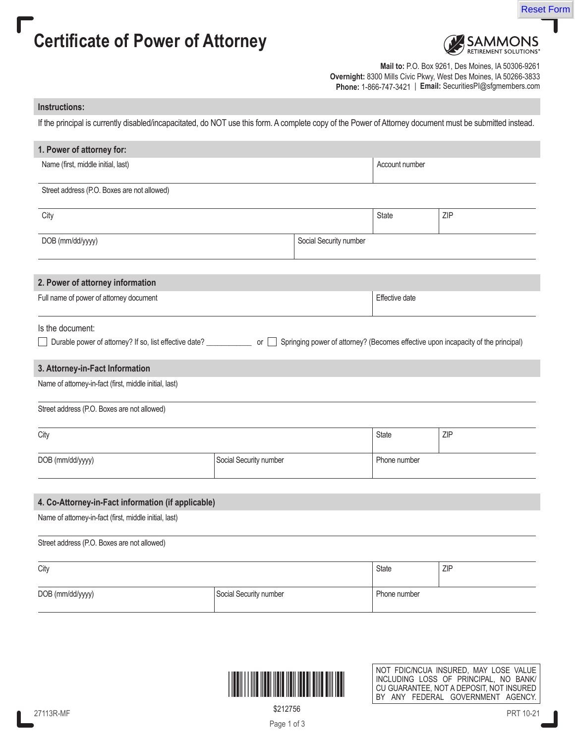



Reset Form

**Mail to:** P.O. Box 9261, Des Moines, IA 50306-9261 **Overnight:** 8300 Mills Civic Pkwy, West Des Moines, IA 50266-3833 **Phone:** 1-866-747-3421 | **Email:** SecuritiesPI@sfgmembers.com

## **Instructions:**

If the principal is currently disabled/incapacitated, do NOT use this form. A complete copy of the Power of Attorney document must be submitted instead.

| 1. Power of attorney for:                                                                                                                                                                   |                        |                        |                |     |  |  |  |
|---------------------------------------------------------------------------------------------------------------------------------------------------------------------------------------------|------------------------|------------------------|----------------|-----|--|--|--|
| Name (first, middle initial, last)                                                                                                                                                          |                        | Account number         |                |     |  |  |  |
| Street address (P.O. Boxes are not allowed)                                                                                                                                                 |                        |                        |                |     |  |  |  |
| City                                                                                                                                                                                        |                        |                        | State          | ZIP |  |  |  |
| DOB (mm/dd/yyyy)                                                                                                                                                                            |                        | Social Security number |                |     |  |  |  |
| 2. Power of attorney information                                                                                                                                                            |                        |                        |                |     |  |  |  |
| Full name of power of attorney document                                                                                                                                                     |                        |                        | Effective date |     |  |  |  |
| Is the document:<br>Durable power of attorney? If so, list effective date? _________________________ or □ Springing power of attorney? (Becomes effective upon incapacity of the principal) |                        |                        |                |     |  |  |  |
| 3. Attorney-in-Fact Information                                                                                                                                                             |                        |                        |                |     |  |  |  |
| Name of attorney-in-fact (first, middle initial, last)                                                                                                                                      |                        |                        |                |     |  |  |  |
| Street address (P.O. Boxes are not allowed)                                                                                                                                                 |                        |                        |                |     |  |  |  |
| City                                                                                                                                                                                        |                        |                        | State          | ZIP |  |  |  |
| DOB (mm/dd/yyyy)                                                                                                                                                                            | Social Security number |                        | Phone number   |     |  |  |  |
| 4. Co-Attorney-in-Fact information (if applicable)                                                                                                                                          |                        |                        |                |     |  |  |  |
| Name of attorney-in-fact (first, middle initial, last)                                                                                                                                      |                        |                        |                |     |  |  |  |
| Street address (P.O. Boxes are not allowed)                                                                                                                                                 |                        |                        |                |     |  |  |  |
| City                                                                                                                                                                                        |                        | State                  | ZIP            |     |  |  |  |
| DOB (mm/dd/yyyy)                                                                                                                                                                            | Social Security number |                        | Phone number   |     |  |  |  |



NOT FDIC/NCUA INSURED, MAY LOSE VALUE INCLUDING LOSS OF PRINCIPAL, NO BANK/ CU GUARANTEE, NOT A DEPOSIT, NOT INSURED BY ANY FEDERAL GOVERNMENT AGENCY.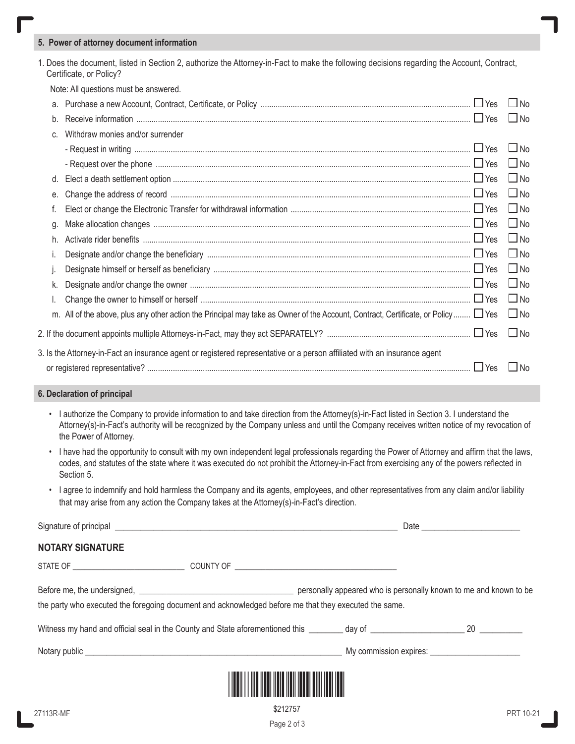## **5. Power of attorney document information**

1. Does the document, listed in Section 2, authorize the Attorney-in-Fact to make the following decisions regarding the Account, Contract, Certificate, or Policy?

Note: All questions must be answered.

| a. |                                                                                                                                        | $\Box$ No |
|----|----------------------------------------------------------------------------------------------------------------------------------------|-----------|
| b. |                                                                                                                                        | $\Box$ No |
| C. | Withdraw monies and/or surrender                                                                                                       |           |
|    |                                                                                                                                        | $\Box$ No |
|    | - Request over the phone manufactured and the phone manufactured with the manufactured with the manufactured with the state of the Yes | $\Box$ No |
| d. |                                                                                                                                        | $\Box$ No |
| е. |                                                                                                                                        | $\Box$ No |
|    |                                                                                                                                        | $\Box$ No |
| g. |                                                                                                                                        | $\Box$ No |
| h. |                                                                                                                                        | $\Box$ No |
|    |                                                                                                                                        | $\Box$ No |
|    |                                                                                                                                        | $\Box$ No |
| k. |                                                                                                                                        | $\Box$ No |
|    |                                                                                                                                        | $\Box$ No |
|    | m. All of the above, plus any other action the Principal may take as Owner of the Account, Contract, Certificate, or Policy □ Yes □ No |           |
|    |                                                                                                                                        | $\Box$ No |
|    | 3. Is the Attorney-in-Fact an insurance agent or registered representative or a person affiliated with an insurance agent              |           |
|    |                                                                                                                                        | $\Box$ No |

## **6. Declaration of principal**

- I authorize the Company to provide information to and take direction from the Attorney(s)-in-Fact listed in Section 3. I understand the Attorney(s)-in-Fact's authority will be recognized by the Company unless and until the Company receives written notice of my revocation of the Power of Attorney.
- I have had the opportunity to consult with my own independent legal professionals regarding the Power of Attorney and affirm that the laws, codes, and statutes of the state where it was executed do not prohibit the Attorney-in-Fact from exercising any of the powers reflected in Section 5.
- I agree to indemnify and hold harmless the Company and its agents, employees, and other representatives from any claim and/or liability that may arise from any action the Company takes at the Attorney(s)-in-Fact's direction.

| <b>NOTARY SIGNATURE</b>                                                                               |  |  |
|-------------------------------------------------------------------------------------------------------|--|--|
|                                                                                                       |  |  |
|                                                                                                       |  |  |
| the party who executed the foregoing document and acknowledged before me that they executed the same. |  |  |
|                                                                                                       |  |  |
|                                                                                                       |  |  |
|                                                                                                       |  |  |

\$212757

Page 2 of 3